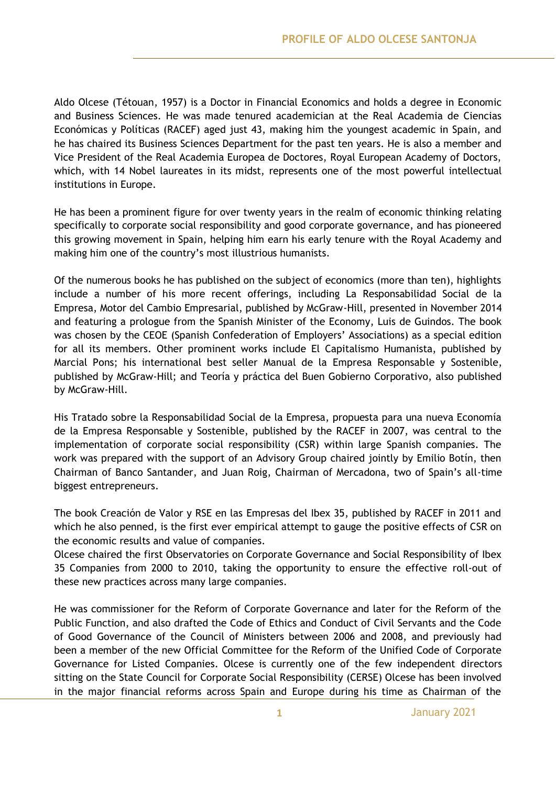Aldo Olcese (Tétouan, 1957) is a Doctor in Financial Economics and holds a degree in Economic and Business Sciences. He was made tenured academician at the Real Academia de Ciencias Económicas y Políticas (RACEF) aged just 43, making him the youngest academic in Spain, and he has chaired its Business Sciences Department for the past ten years. He is also a member and Vice President of the Real Academia Europea de Doctores, Royal European Academy of Doctors, which, with 14 Nobel laureates in its midst, represents one of the most powerful intellectual institutions in Europe.

He has been a prominent figure for over twenty years in the realm of economic thinking relating specifically to corporate social responsibility and good corporate governance, and has pioneered this growing movement in Spain, helping him earn his early tenure with the Royal Academy and making him one of the country's most illustrious humanists.

Of the numerous books he has published on the subject of economics (more than ten), highlights include a number of his more recent offerings, including La Responsabilidad Social de la Empresa, Motor del Cambio Empresarial, published by McGraw-Hill, presented in November 2014 and featuring a prologue from the Spanish Minister of the Economy, Luis de Guindos. The book was chosen by the CEOE (Spanish Confederation of Employers' Associations) as a special edition for all its members. Other prominent works include El Capitalismo Humanista, published by Marcial Pons; his international best seller Manual de la Empresa Responsable y Sostenible, published by McGraw-Hill; and Teoría y práctica del Buen Gobierno Corporativo, also published by McGraw-Hill.

His Tratado sobre la Responsabilidad Social de la Empresa, propuesta para una nueva Economía de la Empresa Responsable y Sostenible, published by the RACEF in 2007, was central to the implementation of corporate social responsibility (CSR) within large Spanish companies. The work was prepared with the support of an Advisory Group chaired jointly by Emilio Botín, then Chairman of Banco Santander, and Juan Roig, Chairman of Mercadona, two of Spain's all-time biggest entrepreneurs.

The book Creación de Valor y RSE en las Empresas del Ibex 35, published by RACEF in 2011 and which he also penned, is the first ever empirical attempt to gauge the positive effects of CSR on the economic results and value of companies.

Olcese chaired the first Observatories on Corporate Governance and Social Responsibility of Ibex 35 Companies from 2000 to 2010, taking the opportunity to ensure the effective roll-out of these new practices across many large companies.

He was commissioner for the Reform of Corporate Governance and later for the Reform of the Public Function, and also drafted the Code of Ethics and Conduct of Civil Servants and the Code of Good Governance of the Council of Ministers between 2006 and 2008, and previously had been a member of the new Official Committee for the Reform of the Unified Code of Corporate Governance for Listed Companies. Olcese is currently one of the few independent directors sitting on the State Council for Corporate Social Responsibility (CERSE) Olcese has been involved in the major financial reforms across Spain and Europe during his time as Chairman of the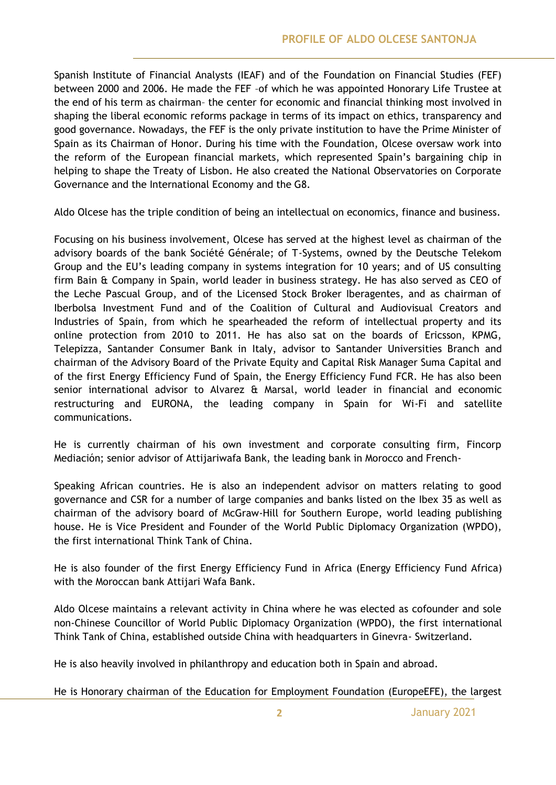Spanish Institute of Financial Analysts (IEAF) and of the Foundation on Financial Studies (FEF) between 2000 and 2006. He made the FEF –of which he was appointed Honorary Life Trustee at the end of his term as chairman– the center for economic and financial thinking most involved in shaping the liberal economic reforms package in terms of its impact on ethics, transparency and good governance. Nowadays, the FEF is the only private institution to have the Prime Minister of Spain as its Chairman of Honor. During his time with the Foundation, Olcese oversaw work into the reform of the European financial markets, which represented Spain's bargaining chip in helping to shape the Treaty of Lisbon. He also created the National Observatories on Corporate Governance and the International Economy and the G8.

Aldo Olcese has the triple condition of being an intellectual on economics, finance and business.

Focusing on his business involvement, Olcese has served at the highest level as chairman of the advisory boards of the bank Société Générale; of T-Systems, owned by the Deutsche Telekom Group and the EU's leading company in systems integration for 10 years; and of US consulting firm Bain & Company in Spain, world leader in business strategy. He has also served as CEO of the Leche Pascual Group, and of the Licensed Stock Broker Iberagentes, and as chairman of Iberbolsa Investment Fund and of the Coalition of Cultural and Audiovisual Creators and Industries of Spain, from which he spearheaded the reform of intellectual property and its online protection from 2010 to 2011. He has also sat on the boards of Ericsson, KPMG, Telepizza, Santander Consumer Bank in Italy, advisor to Santander Universities Branch and chairman of the Advisory Board of the Private Equity and Capital Risk Manager Suma Capital and of the first Energy Efficiency Fund of Spain, the Energy Efficiency Fund FCR. He has also been senior international advisor to Alvarez & Marsal, world leader in financial and economic restructuring and EURONA, the leading company in Spain for Wi-Fi and satellite communications.

He is currently chairman of his own investment and corporate consulting firm, Fincorp Mediación; senior advisor of Attijariwafa Bank, the leading bank in Morocco and French-

Speaking African countries. He is also an independent advisor on matters relating to good governance and CSR for a number of large companies and banks listed on the Ibex 35 as well as chairman of the advisory board of McGraw-Hill for Southern Europe, world leading publishing house. He is Vice President and Founder of the World Public Diplomacy Organization (WPDO), the first international Think Tank of China.

He is also founder of the first Energy Efficiency Fund in Africa (Energy Efficiency Fund Africa) with the Moroccan bank Attijari Wafa Bank.

Aldo Olcese maintains a relevant activity in China where he was elected as cofounder and sole non-Chinese Councillor of World Public Diplomacy Organization (WPDO), the first international Think Tank of China, established outside China with headquarters in Ginevra- Switzerland.

He is also heavily involved in philanthropy and education both in Spain and abroad.

He is Honorary chairman of the Education for Employment Foundation (EuropeEFE), the largest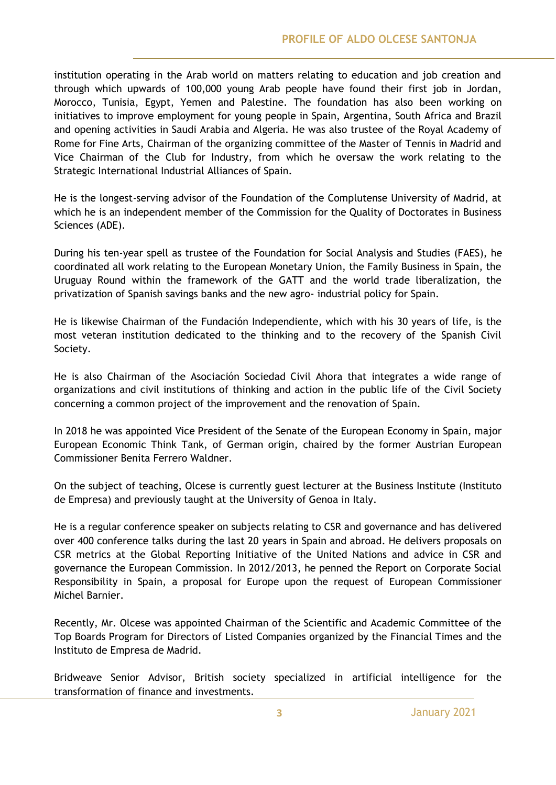institution operating in the Arab world on matters relating to education and job creation and through which upwards of 100,000 young Arab people have found their first job in Jordan, Morocco, Tunisia, Egypt, Yemen and Palestine. The foundation has also been working on initiatives to improve employment for young people in Spain, Argentina, South Africa and Brazil and opening activities in Saudi Arabia and Algeria. He was also trustee of the Royal Academy of Rome for Fine Arts, Chairman of the organizing committee of the Master of Tennis in Madrid and Vice Chairman of the Club for Industry, from which he oversaw the work relating to the Strategic International Industrial Alliances of Spain.

He is the longest-serving advisor of the Foundation of the Complutense University of Madrid, at which he is an independent member of the Commission for the Quality of Doctorates in Business Sciences (ADE).

During his ten-year spell as trustee of the Foundation for Social Analysis and Studies (FAES), he coordinated all work relating to the European Monetary Union, the Family Business in Spain, the Uruguay Round within the framework of the GATT and the world trade liberalization, the privatization of Spanish savings banks and the new agro- industrial policy for Spain.

He is likewise Chairman of the Fundación Independiente, which with his 30 years of life, is the most veteran institution dedicated to the thinking and to the recovery of the Spanish Civil Society.

He is also Chairman of the Asociación Sociedad Civil Ahora that integrates a wide range of organizations and civil institutions of thinking and action in the public life of the Civil Society concerning a common project of the improvement and the renovation of Spain.

In 2018 he was appointed Vice President of the Senate of the European Economy in Spain, major European Economic Think Tank, of German origin, chaired by the former Austrian European Commissioner Benita Ferrero Waldner.

On the subject of teaching, Olcese is currently guest lecturer at the Business Institute (Instituto de Empresa) and previously taught at the University of Genoa in Italy.

He is a regular conference speaker on subjects relating to CSR and governance and has delivered over 400 conference talks during the last 20 years in Spain and abroad. He delivers proposals on CSR metrics at the Global Reporting Initiative of the United Nations and advice in CSR and governance the European Commission. In 2012/2013, he penned the Report on Corporate Social Responsibility in Spain, a proposal for Europe upon the request of European Commissioner Michel Barnier.

Recently, Mr. Olcese was appointed Chairman of the Scientific and Academic Committee of the Top Boards Program for Directors of Listed Companies organized by the Financial Times and the Instituto de Empresa de Madrid.

Bridweave Senior Advisor, British society specialized in artificial intelligence for the transformation of finance and investments.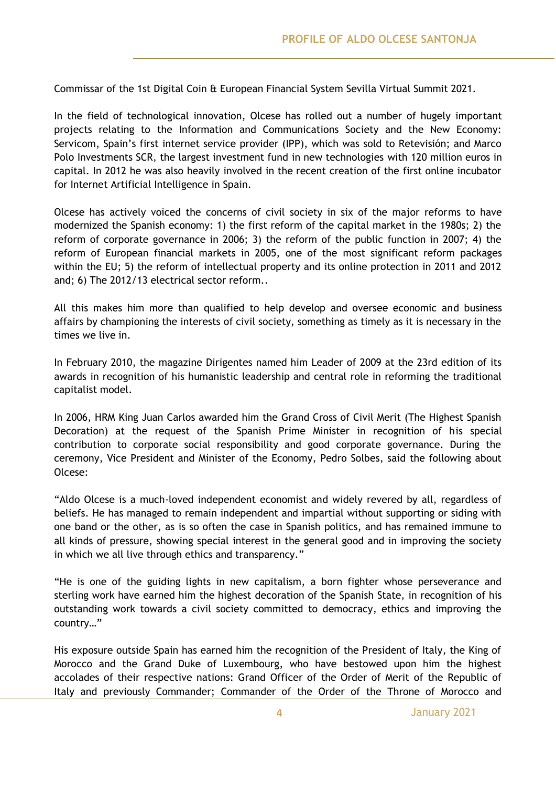Commissar of the 1st Digital Coin & European Financial System Sevilla Virtual Summit 2021.

In the field of technological innovation, Olcese has rolled out a number of hugely important projects relating to the Information and Communications Society and the New Economy: Servicom, Spain's first internet service provider (IPP), which was sold to Retevisión; and Marco Polo Investments SCR, the largest investment fund in new technologies with 120 million euros in capital. In 2012 he was also heavily involved in the recent creation of the first online incubator for Internet Artificial Intelligence in Spain.

Olcese has actively voiced the concerns of civil society in six of the major reforms to have modernized the Spanish economy: 1) the first reform of the capital market in the 1980s; 2) the reform of corporate governance in 2006; 3) the reform of the public function in 2007; 4) the reform of European financial markets in 2005, one of the most significant reform packages within the EU; 5) the reform of intellectual property and its online protection in 2011 and 2012 and; 6) The 2012/13 electrical sector reform..

All this makes him more than qualified to help develop and oversee economic and business affairs by championing the interests of civil society, something as timely as it is necessary in the times we live in.

In February 2010, the magazine Dirigentes named him Leader of 2009 at the 23rd edition of its awards in recognition of his humanistic leadership and central role in reforming the traditional capitalist model.

In 2006, HRM King Juan Carlos awarded him the Grand Cross of Civil Merit (The Highest Spanish Decoration) at the request of the Spanish Prime Minister in recognition of his special contribution to corporate social responsibility and good corporate governance. During the ceremony, Vice President and Minister of the Economy, Pedro Solbes, said the following about Olcese:

"Aldo Olcese is a much-loved independent economist and widely revered by all, regardless of beliefs. He has managed to remain independent and impartial without supporting or siding with one band or the other, as is so often the case in Spanish politics, and has remained immune to all kinds of pressure, showing special interest in the general good and in improving the society in which we all live through ethics and transparency."

"He is one of the guiding lights in new capitalism, a born fighter whose perseverance and sterling work have earned him the highest decoration of the Spanish State, in recognition of his outstanding work towards a civil society committed to democracy, ethics and improving the country…"

His exposure outside Spain has earned him the recognition of the President of Italy, the King of Morocco and the Grand Duke of Luxembourg, who have bestowed upon him the highest accolades of their respective nations: Grand Officer of the Order of Merit of the Republic of Italy and previously Commander; Commander of the Order of the Throne of Morocco and